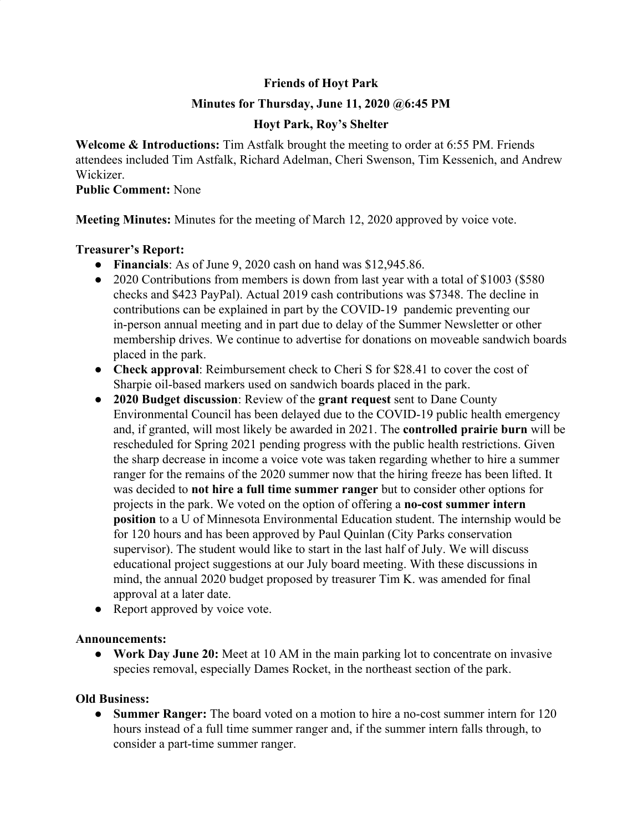# **Friends of Hoyt Park**

### **Minutes for Thursday, June 11, 2020 @6:45 PM**

# **Hoyt Park, Roy's Shelter**

**Welcome & Introductions:** Tim Astfalk brought the meeting to order at 6:55 PM. Friends attendees included Tim Astfalk, Richard Adelman, Cheri Swenson, Tim Kessenich, and Andrew **Wickizer** 

#### **Public Comment:** None

**Meeting Minutes:** Minutes for the meeting of March 12, 2020 approved by voice vote.

### **Treasurer's Report:**

- **Financials**: As of June 9, 2020 cash on hand was \$12,945.86.
- 2020 Contributions from members is down from last year with a total of \$1003 (\$580) checks and \$423 PayPal). Actual 2019 cash contributions was \$7348. The decline in contributions can be explained in part by the COVID-19 pandemic preventing our in-person annual meeting and in part due to delay of the Summer Newsletter or other membership drives. We continue to advertise for donations on moveable sandwich boards placed in the park.
- **Check approval**: Reimbursement check to Cheri S for \$28.41 to cover the cost of Sharpie oil-based markers used on sandwich boards placed in the park.
- **2020 Budget discussion**: Review of the **grant request** sent to Dane County Environmental Council has been delayed due to the COVID-19 public health emergency and, if granted, will most likely be awarded in 2021. The **controlled prairie burn** will be rescheduled for Spring 2021 pending progress with the public health restrictions. Given the sharp decrease in income a voice vote was taken regarding whether to hire a summer ranger for the remains of the 2020 summer now that the hiring freeze has been lifted. It was decided to **not hire a full time summer ranger** but to consider other options for projects in the park. We voted on the option of offering a **no-cost summer intern position** to a U of Minnesota Environmental Education student. The internship would be for 120 hours and has been approved by Paul Quinlan (City Parks conservation supervisor). The student would like to start in the last half of July. We will discuss educational project suggestions at our July board meeting. With these discussions in mind, the annual 2020 budget proposed by treasurer Tim K. was amended for final approval at a later date.
- Report approved by voice vote.

### **Announcements:**

**● Work Day June 20:** Meet at 10 AM in the main parking lot to concentrate on invasive species removal, especially Dames Rocket, in the northeast section of the park.

### **Old Business:**

**● Summer Ranger:** The board voted on a motion to hire a no-cost summer intern for 120 hours instead of a full time summer ranger and, if the summer intern falls through, to consider a part-time summer ranger.